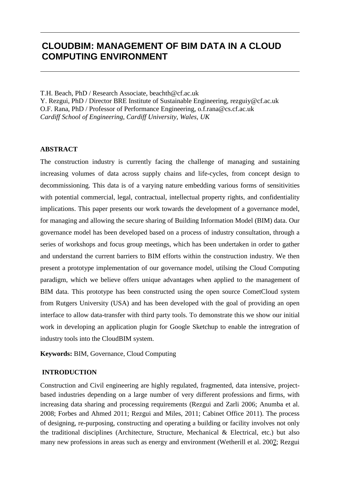# **CLOUDBIM: MANAGEMENT OF BIM DATA IN A CLOUD COMPUTING ENVIRONMENT**

T.H. Beach, PhD / Research Associate, beachth@cf.ac.uk Y. Rezgui, PhD / Director BRE Institute of Sustainable Engineering, rezguiy@cf.ac.uk O.F. Rana, PhD / Professor of Performance Engineering, o.f.rana@cs.cf.ac.uk *Cardiff School of Engineering, Cardiff University, Wales, UK*

# **ABSTRACT**

The construction industry is currently facing the challenge of managing and sustaining increasing volumes of data across supply chains and life-cycles, from concept design to decommissioning. This data is of a varying nature embedding various forms of sensitivities with potential commercial, legal, contractual, intellectual property rights, and confidentiality implications. This paper presents our work towards the development of a governance model, for managing and allowing the secure sharing of Building Information Model (BIM) data. Our governance model has been developed based on a process of industry consultation, through a series of workshops and focus group meetings, which has been undertaken in order to gather and understand the current barriers to BIM efforts within the construction industry. We then present a prototype implementation of our governance model, utilsing the Cloud Computing paradigm, which we believe offers unique advantages when applied to the management of BIM data. This prototype has been constructed using the open source CometCloud system from Rutgers University (USA) and has been developed with the goal of providing an open interface to allow data-transfer with third party tools. To demonstrate this we show our initial work in developing an application plugin for Google Sketchup to enable the intregration of industry tools into the CloudBIM system.

**Keywords:** BIM, Governance, Cloud Computing

# **INTRODUCTION**

Construction and Civil engineering are highly regulated, fragmented, data intensive, projectbased industries depending on a large number of very different professions and firms, with increasing data sharing and processing requirements (Rezgui and Zarli 2006; Anumba et al. 2008; Forbes and Ahmed 2011; Rezgui and Miles, 2011; Cabinet Office 2011). The process of designing, re-purposing, constructing and operating a building or facility involves not only the traditional disciplines (Architecture, Structure, Mechanical & Electrical, etc.) but also many new professions in areas such as energy and environment (Wetherill et al. 2007; Rezgui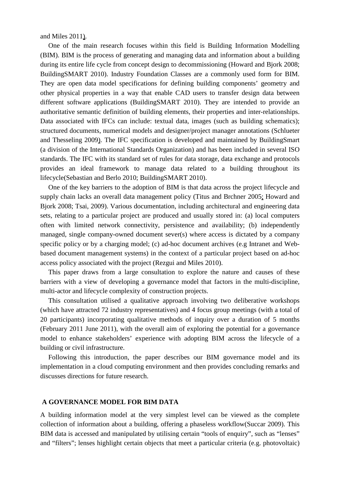and Miles 2011).

One of the main research focuses within this field is Building Information Modelling (BIM). BIM is the process of generating and managing data and information about a building during its entire life cycle from concept design to decommissioning (Howard and Bjork 2008; BuildingSMART 2010). Industry Foundation Classes are a commonly used form for BIM. They are open data model specifications for defining building components' geometry and other physical properties in a way that enable CAD users to transfer design data between different software applications (BuildingSMART 2010). They are intended to provide an authoritative semantic definition of building elements, their properties and inter-relationships. Data associated with IFCs can include: textual data, images (such as building schematics); structured documents, numerical models and designer/project manager annotations (Schlueter and Thesseling 2009). The IFC specification is developed and maintained by BuildingSmart (a division of the International Standards Organization) and has been included in several ISO standards. The IFC with its standard set of rules for data storage, data exchange and protocols provides an ideal framework to manage data related to a building throughout its lifecycle(Sebastian and Berlo 2010; BuildingSMART 2010).

One of the key barriers to the adoption of BIM is that data across the project lifecycle and supply chain lacks an overall data management policy (Titus and Brchner 2005; Howard and Bjork 2008; Tsai, 2009). Various documentation, including architectural and engineering data sets, relating to a particular project are produced and usually stored in: (a) local computers often with limited network connectivity, persistence and availability; (b) independently managed, single company-owned document sever(s) where access is dictated by a company specific policy or by a charging model; (c) ad-hoc document archives (e.g Intranet and Webbased document management systems) in the context of a particular project based on ad-hoc access policy associated with the project (Rezgui and Miles 2010).

This paper draws from a large consultation to explore the nature and causes of these barriers with a view of developing a governance model that factors in the multi-discipline, multi-actor and lifecycle complexity of construction projects.

This consultation utilised a qualitative approach involving two deliberative workshops (which have attracted 72 industry representatives) and 4 focus group meetings (with a total of 20 participants) incorporating qualitative methods of inquiry over a duration of 5 months (February 2011 June 2011), with the overall aim of exploring the potential for a governance model to enhance stakeholders' experience with adopting BIM across the lifecycle of a building or civil infrastructure.

Following this introduction, the paper describes our BIM governance model and its implementation in a cloud computing environment and then provides concluding remarks and discusses directions for future research.

## **A GOVERNANCE MODEL FOR BIM DATA**

A building information model at the very simplest level can be viewed as the complete collection of information about a building, offering a phaseless workflow(Succar 2009). This BIM data is accessed and manipulated by utilising certain "tools of enquiry", such as "lenses" and "filters"; lenses highlight certain objects that meet a particular criteria (e.g. photovoltaic)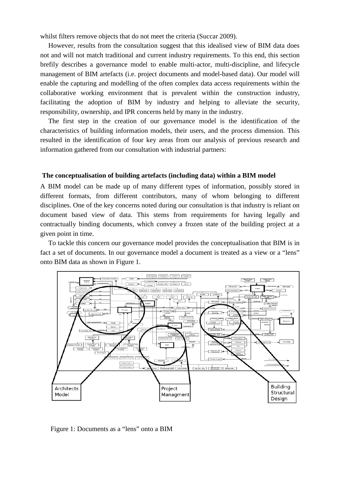whilst filters remove objects that do not meet the criteria (Succar 2009).

However, results from the consultation suggest that this idealised view of BIM data does not and will not match traditional and current industry requirements. To this end, this section brefily describes a governance model to enable multi-actor, multi-discipline, and lifecycle management of BIM artefacts (i.e. project documents and model-based data). Our model will enable the capturing and modelling of the often complex data access requirements within the collaborative working environment that is prevalent within the construction industry, facilitating the adoption of BIM by industry and helping to alleviate the security, responsibility, ownership, and IPR concerns held by many in the industry.

The first step in the creation of our governance model is the identification of the characteristics of building information models, their users, and the process dimension. This resulted in the identification of four key areas from our analysis of previous research and information gathered from our consultation with industrial partners:

#### **The conceptualisation of building artefacts (including data) within a BIM model**

A BIM model can be made up of many different types of information, possibly stored in different formats, from different contributors, many of whom belonging to different disciplines. One of the key concerns noted during our consultation is that industry is reliant on document based view of data. This stems from requirements for having legally and contractually binding documents, which convey a frozen state of the building project at a given point in time.

To tackle this concern our governance model provides the conceptualisation that BIM is in fact a set of documents. In our governance model a document is treated as a view or a "lens" onto BIM data as shown in Figure 1.



Figure 1: Documents as a "lens" onto a BIM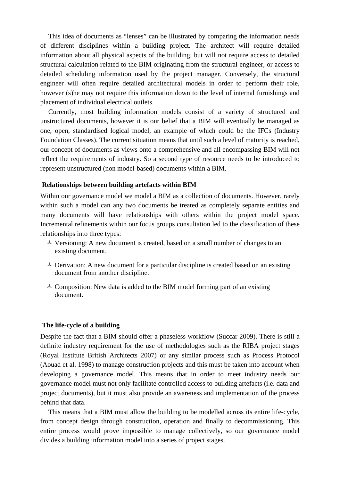This idea of documents as "lenses" can be illustrated by comparing the information needs of different disciplines within a building project. The architect will require detailed information about all physical aspects of the building, but will not require access to detailed structural calculation related to the BIM originating from the structural engineer, or access to detailed scheduling information used by the project manager. Conversely, the structural engineer will often require detailed architectural models in order to perform their role, however (s)he may not require this information down to the level of internal furnishings and placement of individual electrical outlets.

Currently, most building information models consist of a variety of structured and unstructured documents, however it is our belief that a BIM will eventually be managed as one, open, standardised logical model, an example of which could be the IFCs (Industry Foundation Classes). The current situation means that until such a level of maturity is reached, our concept of documents as views onto a comprehensive and all encompassing BIM will not reflect the requirements of industry. So a second type of resource needs to be introduced to represent unstructured (non model-based) documents within a BIM.

#### **Relationships between building artefacts within BIM**

Within our governance model we model a BIM as a collection of documents. However, rarely within such a model can any two documents be treated as completely separate entities and many documents will have relationships with others within the project model space. Incremental refinements within our focus groups consultation led to the classification of these relationships into three types:

- $\overrightarrow{A}$  Versioning: A new document is created, based on a small number of changes to an existing document.
- $\triangle$  Derivation: A new document for a particular discipline is created based on an existing document from another discipline.
- $\triangle$  Composition: New data is added to the BIM model forming part of an existing document.

#### **The life-cycle of a building**

Despite the fact that a BIM should offer a phaseless workflow (Succar 2009). There is still a definite industry requirement for the use of methodologies such as the RIBA project stages (Royal Institute British Architects 2007) or any similar process such as Process Protocol (Aouad et al. 1998) to manage construction projects and this must be taken into account when developing a governance model. This means that in order to meet industry needs our governance model must not only facilitate controlled access to building artefacts (i.e. data and project documents), but it must also provide an awareness and implementation of the process behind that data.

This means that a BIM must allow the building to be modelled across its entire life-cycle, from concept design through construction, operation and finally to decommissioning. This entire process would prove impossible to manage collectively, so our governance model divides a building information model into a series of project stages.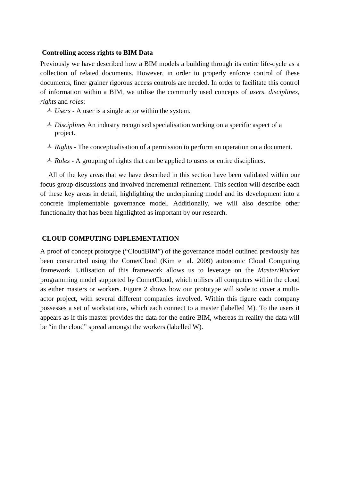### **Controlling access rights to BIM Data**

Previously we have described how a BIM models a building through its entire life-cycle as a collection of related documents. However, in order to properly enforce control of these documents, finer grainer rigorous access controls are needed. In order to facilitate this control of information within a BIM, we utilise the commonly used concepts of *users, disciplines, rights* and *roles*:

- *Users* A user is a single actor within the system.
- *Disciplines* An industry recognised specialisation working on a specific aspect of a project.
- *Rights* The conceptualisation of a permission to perform an operation on a document.
- *Roles* A grouping of rights that can be applied to users or entire disciplines.

All of the key areas that we have described in this section have been validated within our focus group discussions and involved incremental refinement. This section will describe each of these key areas in detail, highlighting the underpinning model and its development into a concrete implementable governance model. Additionally, we will also describe other functionality that has been highlighted as important by our research.

# **CLOUD COMPUTING IMPLEMENTATION**

A proof of concept prototype ("CloudBIM") of the governance model outlined previously has been constructed using the CometCloud (Kim et al. 2009) autonomic Cloud Computing framework. Utilisation of this framework allows us to leverage on the *Master/Worker* programming model supported by CometCloud, which utilises all computers within the cloud as either masters or workers. Figure 2 shows how our prototype will scale to cover a multiactor project, with several different companies involved. Within this figure each company possesses a set of workstations, which each connect to a master (labelled M). To the users it appears as if this master provides the data for the entire BIM, whereas in reality the data will be "in the cloud" spread amongst the workers (labelled W).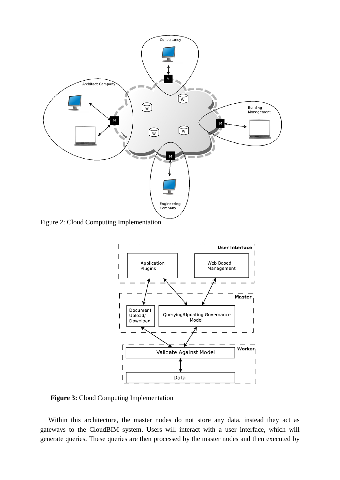

Figure 2: Cloud Computing Implementation



**Figure 3:** Cloud Computing Implementation

Within this architecture, the master nodes do not store any data, instead they act as gateways to the CloudBIM system. Users will interact with a user interface, which will generate queries. These queries are then processed by the master nodes and then executed by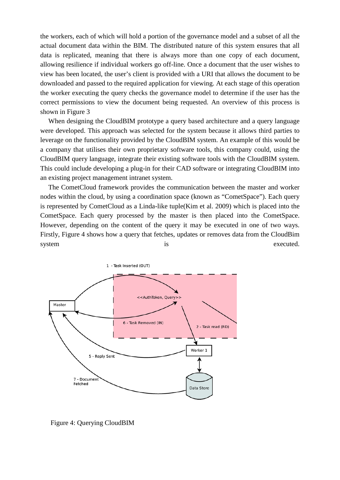the workers, each of which will hold a portion of the governance model and a subset of all the actual document data within the BIM. The distributed nature of this system ensures that all data is replicated, meaning that there is always more than one copy of each document, allowing resilience if individual workers go off-line. Once a document that the user wishes to view has been located, the user's client is provided with a URI that allows the document to be downloaded and passed to the required application for viewing. At each stage of this operation the worker executing the query checks the governance model to determine if the user has the correct permissions to view the document being requested. An overview of this process is shown in Figure 3

When designing the CloudBIM prototype a query based architecture and a query language were developed. This approach was selected for the system because it allows third parties to leverage on the functionality provided by the CloudBIM system. An example of this would be a company that utilises their own proprietary software tools, this company could, using the CloudBIM query language, integrate their existing software tools with the CloudBIM system. This could include developing a plug-in for their CAD software or integrating CloudBIM into an existing project management intranet system.

The CometCloud framework provides the communication between the master and worker nodes within the cloud, by using a coordination space (known as "CometSpace"). Each query is represented by CometCloud as a Linda-like tuple(Kim et al. 2009) which is placed into the CometSpace. Each query processed by the master is then placed into the CometSpace. However, depending on the content of the query it may be executed in one of two ways. Firstly, Figure 4 shows how a query that fetches, updates or removes data from the CloudBim system is executed.



Figure 4: Querying CloudBIM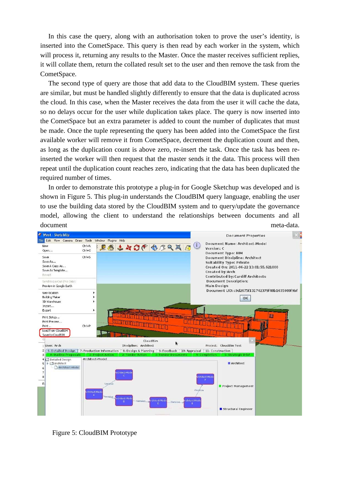In this case the query, along with an authorisation token to prove the user's identity, is inserted into the CometSpace. This query is then read by each worker in the system, which will process it, returning any results to the Master. Once the master receives sufficient replies, it will collate them, return the collated result set to the user and then remove the task from the CometSpace.

The second type of query are those that add data to the CloudBIM system. These queries are similar, but must be handled slightly differently to ensure that the data is duplicated across the cloud. In this case, when the Master receives the data from the user it will cache the data, so no delays occur for the user while duplication takes place. The query is now inserted into the CometSpace but an extra parameter is added to count the number of duplicates that must be made. Once the tuple representing the query has been added into the CometSpace the first available worker will remove it from CometSpace, decrement the duplication count and then, as long as the duplication count is above zero, re-insert the task. Once the task has been reinserted the worker will then request that the master sends it the data. This process will then repeat until the duplication count reaches zero, indicating that the data has been duplicated the required number of times.

In order to demonstrate this prototype a plug-in for Google Sketchup was developed and is shown in Figure 5. This plug-in understands the CloudBIM query language, enabling the user to use the building data stored by the CloudBIM system and to query/update the governance model, allowing the client to understand the relationships between documents and all document meta-data.



Figure 5: CloudBIM Prototype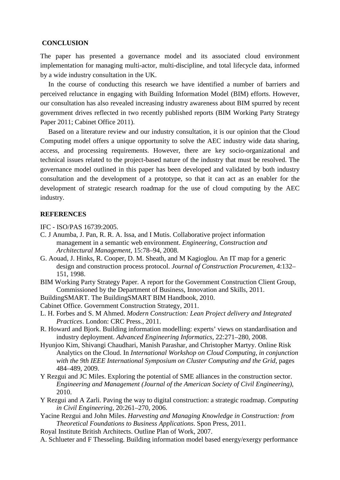#### **CONCLUSION**

The paper has presented a governance model and its associated cloud environment implementation for managing multi-actor, multi-discipline, and total lifecycle data, informed by a wide industry consultation in the UK.

In the course of conducting this research we have identified a number of barriers and perceived reluctance in engaging with Building Information Model (BIM) efforts. However, our consultation has also revealed increasing industry awareness about BIM spurred by recent government drives reflected in two recently published reports (BIM Working Party Strategy Paper 2011; Cabinet Office 2011).

Based on a literature review and our industry consultation, it is our opinion that the Cloud Computing model offers a unique opportunity to solve the AEC industry wide data sharing, access, and processing requirements. However, there are key socio-organizational and technical issues related to the project-based nature of the industry that must be resolved. The governance model outlined in this paper has been developed and validated by both industry consultation and the development of a prototype, so that it can act as an enabler for the development of strategic research roadmap for the use of cloud computing by the AEC industry.

#### **REFERENCES**

IFC - ISO/PAS 16739:2005.

- C. J Anumba, J. Pan, R. R. A. Issa, and I Mutis. Collaborative project information management in a semantic web environment. *Engineering, Construction and Architectural Management*, 15:78–94, 2008.
- G. Aouad, J. Hinks, R. Cooper, D. M. Sheath, and M Kagioglou. An IT map for a generic design and construction process protocol. *Journal of Construction Procuremen*, 4:132– 151, 1998.
- BIM Working Party Strategy Paper. A report for the Government Construction Client Group, Commissioned by the Department of Business, Innovation and Skills, 2011.
- BuildingSMART. The BuildingSMART BIM Handbook, 2010.
- Cabinet Office. Government Construction Strategy, 2011.
- L. H. Forbes and S. M Ahmed. *Modern Construction: Lean Project delivery and Integrated Practices*. London: CRC Press., 2011.
- R. Howard and Bjork. Building information modelling: experts' views on standardisation and industry deployment. *Advanced Engineering Informatics*, 22:271–280, 2008.
- Hyunjoo Kim, Shivangi Chaudhari, Manish Parashar, and Christopher Martyy. Online Risk Analytics on the Cloud. In *International Workshop on Cloud Computing, in conjunction with the 9th IEEE International Symposium on Cluster Computing and the Grid*, pages 484–489, 2009.
- Y Rezgui and JC Miles. Exploring the potential of SME alliances in the construction sector. *Engineering and Management (Journal of the American Society of Civil Engineering)*, 2010.
- Y Rezgui and A Zarli. Paving the way to digital construction: a strategic roadmap. *Computing in Civil Engineering*, 20:261–270, 2006.
- Yacine Rezgui and John Miles. *Harvesting and Managing Knowledge in Construction: from Theoretical Foundations to Business Applications*. Spon Press, 2011.
- Royal Institute British Architects. Outline Plan of Work, 2007.
- A. Schlueter and F Thesseling. Building information model based energy/exergy performance